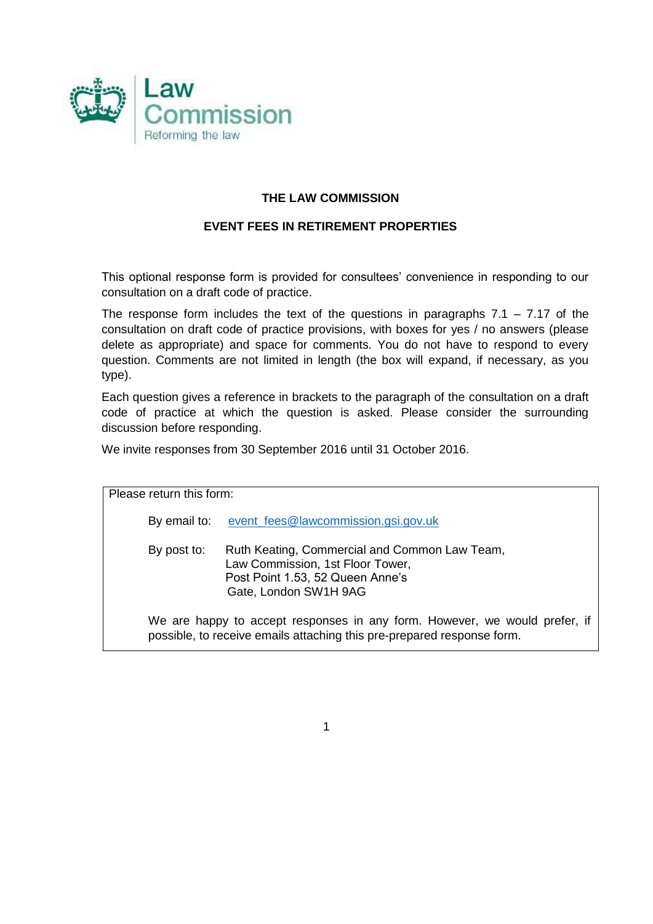

## **THE LAW COMMISSION**

## **EVENT FEES IN RETIREMENT PROPERTIES**

This optional response form is provided for consultees' convenience in responding to our consultation on a draft code of practice.

The response form includes the text of the questions in paragraphs  $7.1 - 7.17$  of the consultation on draft code of practice provisions, with boxes for yes / no answers (please delete as appropriate) and space for comments. You do not have to respond to every question. Comments are not limited in length (the box will expand, if necessary, as you type).

Each question gives a reference in brackets to the paragraph of the consultation on a draft code of practice at which the question is asked. Please consider the surrounding discussion before responding.

We invite responses from 30 September 2016 until 31 October 2016.

| Please return this form: |                                                                                                                                                      |
|--------------------------|------------------------------------------------------------------------------------------------------------------------------------------------------|
| By email to:             | event fees@lawcommission.gsi.gov.uk                                                                                                                  |
| By post to:              | Ruth Keating, Commercial and Common Law Team,<br>Law Commission, 1st Floor Tower,<br>Post Point 1.53, 52 Queen Anne's<br>Gate, London SW1H 9AG       |
|                          | We are happy to accept responses in any form. However, we would prefer, if<br>possible, to receive emails attaching this pre-prepared response form. |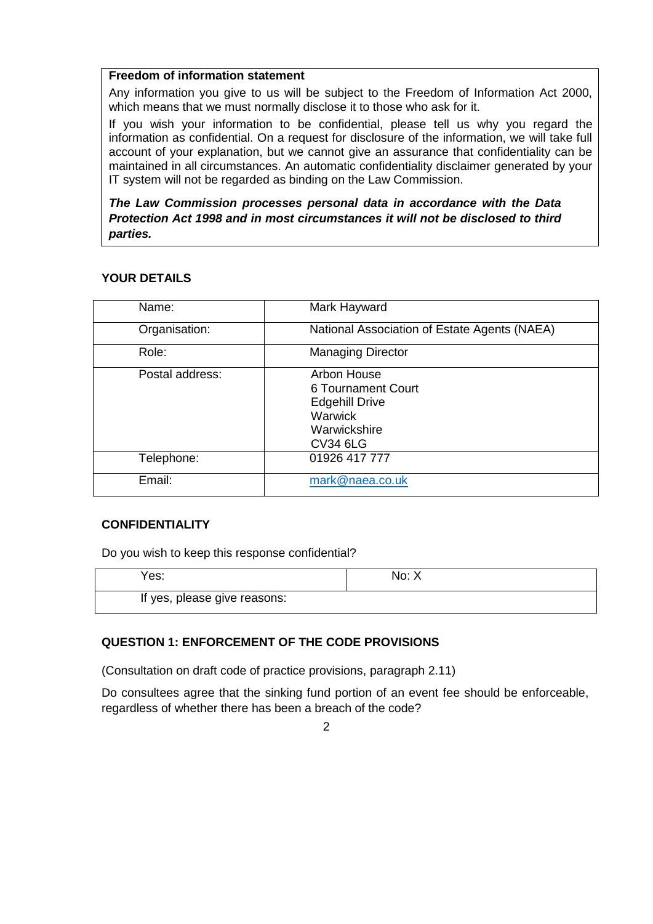#### **Freedom of information statement**

Any information you give to us will be subject to the Freedom of Information Act 2000, which means that we must normally disclose it to those who ask for it.

If you wish your information to be confidential, please tell us why you regard the information as confidential. On a request for disclosure of the information, we will take full account of your explanation, but we cannot give an assurance that confidentiality can be maintained in all circumstances. An automatic confidentiality disclaimer generated by your IT system will not be regarded as binding on the Law Commission.

*The Law Commission processes personal data in accordance with the Data Protection Act 1998 and in most circumstances it will not be disclosed to third parties.*

## **YOUR DETAILS**

| Name:           | Mark Hayward                                                                                             |
|-----------------|----------------------------------------------------------------------------------------------------------|
| Organisation:   | National Association of Estate Agents (NAEA)                                                             |
| Role:           | <b>Managing Director</b>                                                                                 |
| Postal address: | Arbon House<br>6 Tournament Court<br><b>Edgehill Drive</b><br>Warwick<br>Warwickshire<br><b>CV34 6LG</b> |
| Telephone:      | 01926 417 777                                                                                            |
| Email:          | mark@naea.co.uk                                                                                          |

## **CONFIDENTIALITY**

Do you wish to keep this response confidential?

| Yes:                         | No: X |
|------------------------------|-------|
| If yes, please give reasons: |       |

### **QUESTION 1: ENFORCEMENT OF THE CODE PROVISIONS**

(Consultation on draft code of practice provisions, paragraph 2.11)

Do consultees agree that the sinking fund portion of an event fee should be enforceable, regardless of whether there has been a breach of the code?

 $\mathfrak{D}$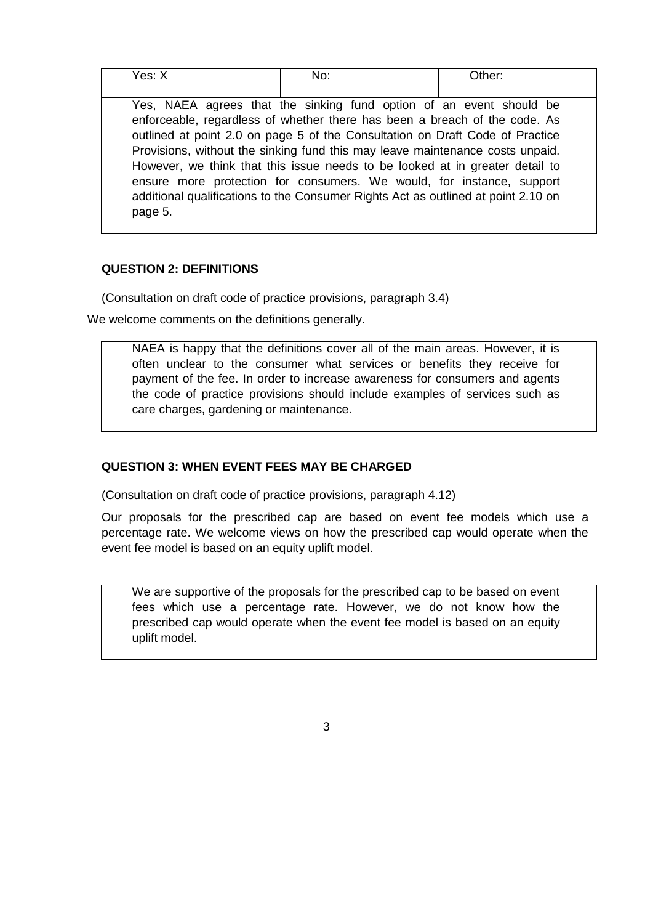| Yes: X  | No:                                                                               | Other: |
|---------|-----------------------------------------------------------------------------------|--------|
|         |                                                                                   |        |
|         | Yes, NAEA agrees that the sinking fund option of an event should be               |        |
|         | enforceable, regardless of whether there has been a breach of the code. As        |        |
|         | outlined at point 2.0 on page 5 of the Consultation on Draft Code of Practice     |        |
|         | Provisions, without the sinking fund this may leave maintenance costs unpaid.     |        |
|         | However, we think that this issue needs to be looked at in greater detail to      |        |
|         | ensure more protection for consumers. We would, for instance, support             |        |
|         | additional qualifications to the Consumer Rights Act as outlined at point 2.10 on |        |
| page 5. |                                                                                   |        |
|         |                                                                                   |        |

### **QUESTION 2: DEFINITIONS**

(Consultation on draft code of practice provisions, paragraph 3.4)

We welcome comments on the definitions generally.

NAEA is happy that the definitions cover all of the main areas. However, it is often unclear to the consumer what services or benefits they receive for payment of the fee. In order to increase awareness for consumers and agents the code of practice provisions should include examples of services such as care charges, gardening or maintenance.

# **QUESTION 3: WHEN EVENT FEES MAY BE CHARGED**

(Consultation on draft code of practice provisions, paragraph 4.12)

Our proposals for the prescribed cap are based on event fee models which use a percentage rate. We welcome views on how the prescribed cap would operate when the event fee model is based on an equity uplift model.

We are supportive of the proposals for the prescribed cap to be based on event fees which use a percentage rate. However, we do not know how the prescribed cap would operate when the event fee model is based on an equity uplift model.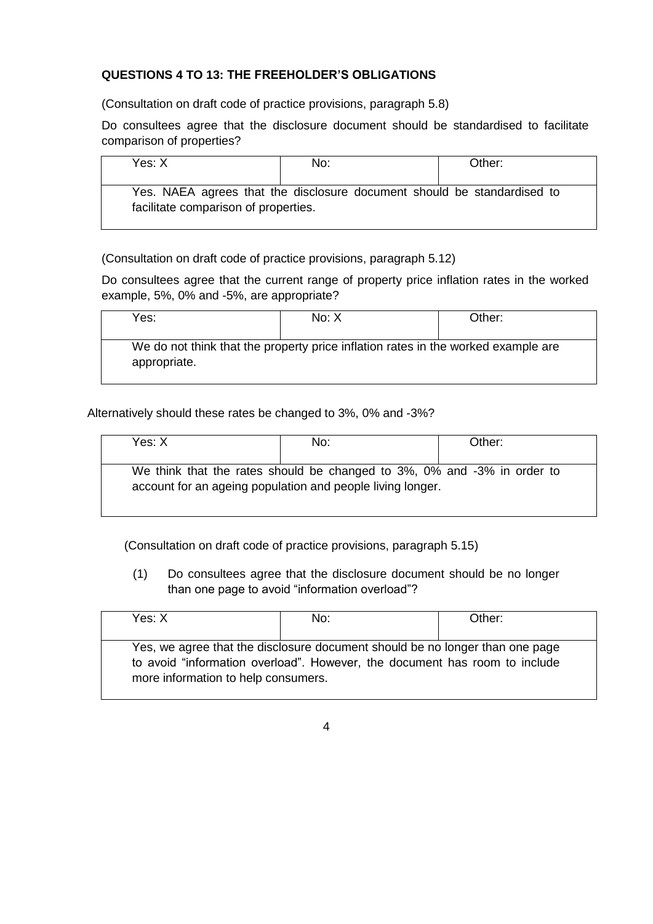## **QUESTIONS 4 TO 13: THE FREEHOLDER'S OBLIGATIONS**

(Consultation on draft code of practice provisions, paragraph 5.8)

Do consultees agree that the disclosure document should be standardised to facilitate comparison of properties?

| Yes: X                               | No:                                                                     | Other: |
|--------------------------------------|-------------------------------------------------------------------------|--------|
| facilitate comparison of properties. | Yes. NAEA agrees that the disclosure document should be standardised to |        |

(Consultation on draft code of practice provisions, paragraph 5.12)

Do consultees agree that the current range of property price inflation rates in the worked example, 5%, 0% and -5%, are appropriate?

| Yes:         | No: X                                                                             | Other: |
|--------------|-----------------------------------------------------------------------------------|--------|
| appropriate. | We do not think that the property price inflation rates in the worked example are |        |

Alternatively should these rates be changed to 3%, 0% and -3%?

| Yes: X | No:                                                                                                                                   | Other: |
|--------|---------------------------------------------------------------------------------------------------------------------------------------|--------|
|        | We think that the rates should be changed to 3%, 0% and -3% in order to<br>account for an ageing population and people living longer. |        |

(Consultation on draft code of practice provisions, paragraph 5.15)

(1) Do consultees agree that the disclosure document should be no longer than one page to avoid "information overload"?

| Yes: X                              | No:                                                                                                                                                        | Other: |
|-------------------------------------|------------------------------------------------------------------------------------------------------------------------------------------------------------|--------|
|                                     |                                                                                                                                                            |        |
| more information to help consumers. | Yes, we agree that the disclosure document should be no longer than one page<br>to avoid "information overload". However, the document has room to include |        |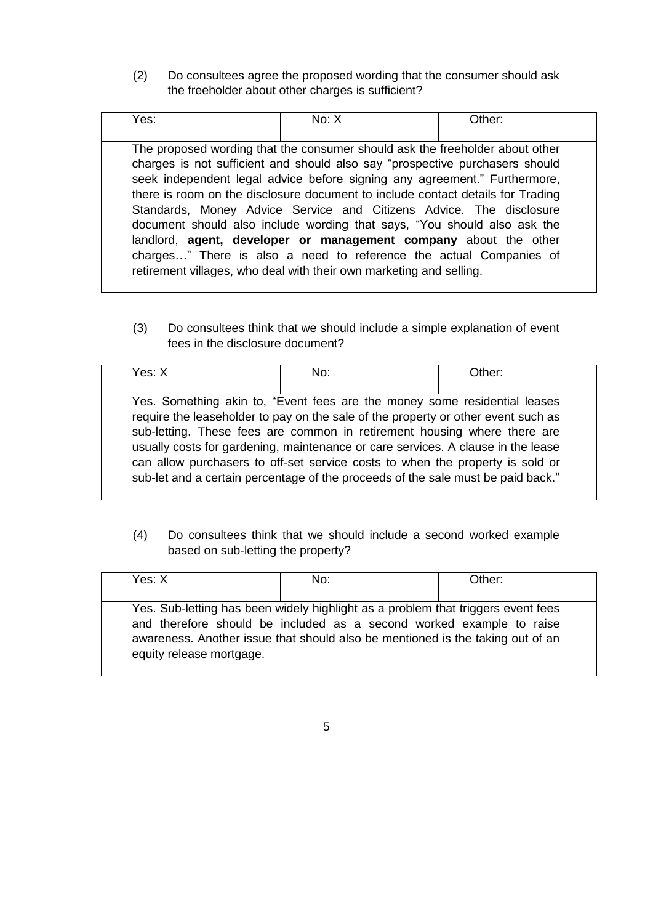(2) Do consultees agree the proposed wording that the consumer should ask the freeholder about other charges is sufficient?

| The proposed wording that the consumer should ask the freeholder about other<br>charges is not sufficient and should also say "prospective purchasers should<br>seek independent legal advice before signing any agreement." Furthermore,<br>there is room on the disclosure document to include contact details for Trading<br>Standards, Money Advice Service and Citizens Advice. The disclosure<br>document should also include wording that says, "You should also ask the<br>landlord, agent, developer or management company about the other<br>charges" There is also a need to reference the actual Companies of<br>retirement villages, who deal with their own marketing and selling. | Yes: | No: X | Other: |
|--------------------------------------------------------------------------------------------------------------------------------------------------------------------------------------------------------------------------------------------------------------------------------------------------------------------------------------------------------------------------------------------------------------------------------------------------------------------------------------------------------------------------------------------------------------------------------------------------------------------------------------------------------------------------------------------------|------|-------|--------|
|                                                                                                                                                                                                                                                                                                                                                                                                                                                                                                                                                                                                                                                                                                  |      |       |        |

(3) Do consultees think that we should include a simple explanation of event fees in the disclosure document?

| Yes: X | No:                                                                                                                                                                                                                                                                                                                                                                                                                                                                                                 | Other: |
|--------|-----------------------------------------------------------------------------------------------------------------------------------------------------------------------------------------------------------------------------------------------------------------------------------------------------------------------------------------------------------------------------------------------------------------------------------------------------------------------------------------------------|--------|
|        | Yes. Something akin to, "Event fees are the money some residential leases<br>require the leaseholder to pay on the sale of the property or other event such as<br>sub-letting. These fees are common in retirement housing where there are<br>usually costs for gardening, maintenance or care services. A clause in the lease<br>can allow purchasers to off-set service costs to when the property is sold or<br>sub-let and a certain percentage of the proceeds of the sale must be paid back." |        |

(4) Do consultees think that we should include a second worked example based on sub-letting the property?

| Yes: X                   | No:                                                                                                                                                                                                                                        | Other: |
|--------------------------|--------------------------------------------------------------------------------------------------------------------------------------------------------------------------------------------------------------------------------------------|--------|
| equity release mortgage. | Yes. Sub-letting has been widely highlight as a problem that triggers event fees<br>and therefore should be included as a second worked example to raise<br>awareness. Another issue that should also be mentioned is the taking out of an |        |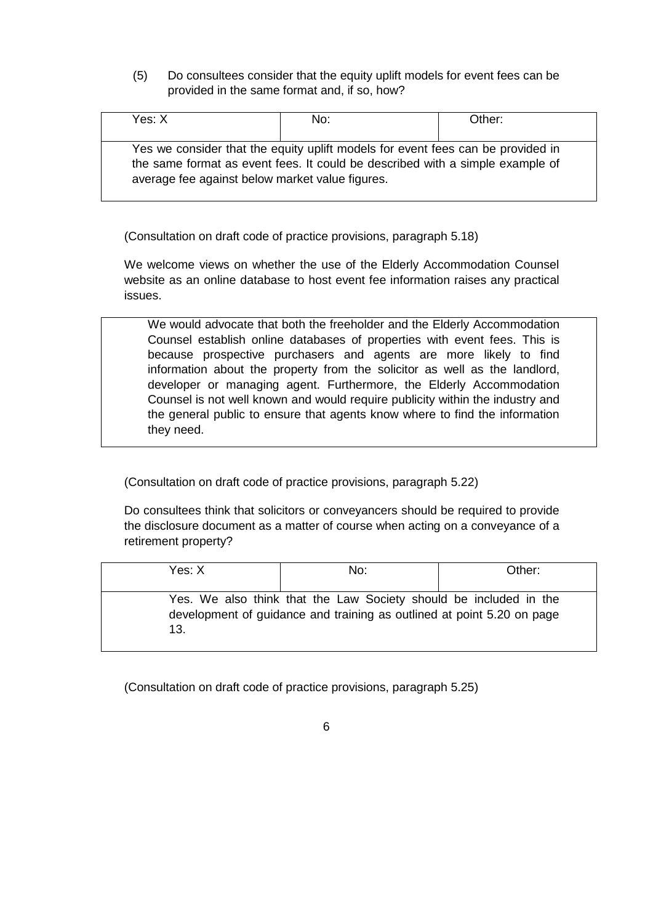(5) Do consultees consider that the equity uplift models for event fees can be provided in the same format and, if so, how?

| Yes: X                                          | No:                                                                                                                                                              | Other: |
|-------------------------------------------------|------------------------------------------------------------------------------------------------------------------------------------------------------------------|--------|
| average fee against below market value figures. | Yes we consider that the equity uplift models for event fees can be provided in<br>the same format as event fees. It could be described with a simple example of |        |

(Consultation on draft code of practice provisions, paragraph 5.18)

We welcome views on whether the use of the Elderly Accommodation Counsel website as an online database to host event fee information raises any practical issues.

We would advocate that both the freeholder and the Elderly Accommodation Counsel establish online databases of properties with event fees. This is because prospective purchasers and agents are more likely to find information about the property from the solicitor as well as the landlord, developer or managing agent. Furthermore, the Elderly Accommodation Counsel is not well known and would require publicity within the industry and the general public to ensure that agents know where to find the information they need.

(Consultation on draft code of practice provisions, paragraph 5.22)

Do consultees think that solicitors or conveyancers should be required to provide the disclosure document as a matter of course when acting on a conveyance of a retirement property?

| Yes: X | No:                                                                                                                                         | Other: |
|--------|---------------------------------------------------------------------------------------------------------------------------------------------|--------|
| 13.    | Yes. We also think that the Law Society should be included in the<br>development of guidance and training as outlined at point 5.20 on page |        |

(Consultation on draft code of practice provisions, paragraph 5.25)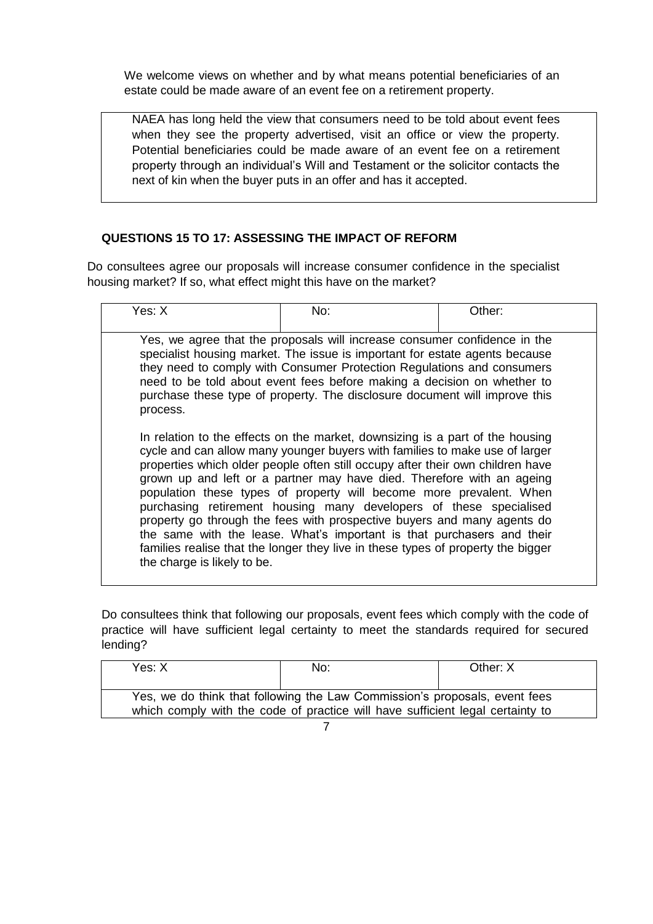We welcome views on whether and by what means potential beneficiaries of an estate could be made aware of an event fee on a retirement property.

NAEA has long held the view that consumers need to be told about event fees when they see the property advertised, visit an office or view the property. Potential beneficiaries could be made aware of an event fee on a retirement property through an individual's Will and Testament or the solicitor contacts the next of kin when the buyer puts in an offer and has it accepted.

## **QUESTIONS 15 TO 17: ASSESSING THE IMPACT OF REFORM**

Do consultees agree our proposals will increase consumer confidence in the specialist housing market? If so, what effect might this have on the market?

| Yes: X                                                                                                                                                                                                                                                                                                                                                                                                                                                                                                                                                                        | No: | Other: |  |  |
|-------------------------------------------------------------------------------------------------------------------------------------------------------------------------------------------------------------------------------------------------------------------------------------------------------------------------------------------------------------------------------------------------------------------------------------------------------------------------------------------------------------------------------------------------------------------------------|-----|--------|--|--|
| Yes, we agree that the proposals will increase consumer confidence in the<br>specialist housing market. The issue is important for estate agents because<br>they need to comply with Consumer Protection Regulations and consumers<br>need to be told about event fees before making a decision on whether to<br>purchase these type of property. The disclosure document will improve this<br>process.<br>In relation to the effects on the market, downsizing is a part of the housing<br>cycle and can allow many younger buyers with families to make use of larger       |     |        |  |  |
| properties which older people often still occupy after their own children have<br>grown up and left or a partner may have died. Therefore with an ageing<br>population these types of property will become more prevalent. When<br>purchasing retirement housing many developers of these specialised<br>property go through the fees with prospective buyers and many agents do<br>the same with the lease. What's important is that purchasers and their<br>families realise that the longer they live in these types of property the bigger<br>the charge is likely to be. |     |        |  |  |

Do consultees think that following our proposals, event fees which comply with the code of practice will have sufficient legal certainty to meet the standards required for secured lending?

| Yes: X                                                                         | No: | Other: X |  |  |
|--------------------------------------------------------------------------------|-----|----------|--|--|
|                                                                                |     |          |  |  |
| Yes, we do think that following the Law Commission's proposals, event fees     |     |          |  |  |
| which comply with the code of practice will have sufficient legal certainty to |     |          |  |  |